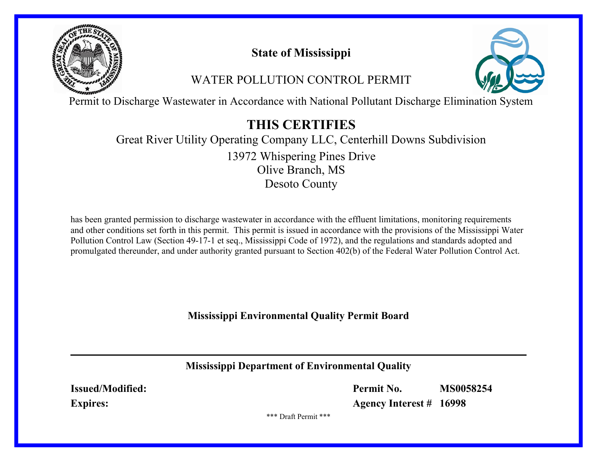

# **State of Mississippi**

# WATER POLLUTION CONTROL PERMIT



Permit to Discharge Wastewater in Accordance with National Pollutant Discharge Elimination System

# **THIS CERTIFIES**

# Great River Utility Operating Company LLC, Centerhill Downs Subdivision Olive Branch, MS Desoto County 13972 Whispering Pines Drive

has been granted permission to discharge wastewater in accordance with the effluent limitations, monitoring requirements and other conditions set forth in this permit. This permit is issued in accordance with the provisions of the Mississippi Water Pollution Control Law (Section 49-17-1 et seq., Mississippi Code of 1972), and the regulations and standards adopted and promulgated thereunder, and under authority granted pursuant to Section 402(b) of the Federal Water Pollution Control Act.

**Mississippi Environmental Quality Permit Board**

**Mississippi Department of Environmental Quality**

**Issued/Modified: Expires:**

**Permit No. MS0058254**

**Agency Interest # 16998**

\*\*\* Draft Permit \*\*\*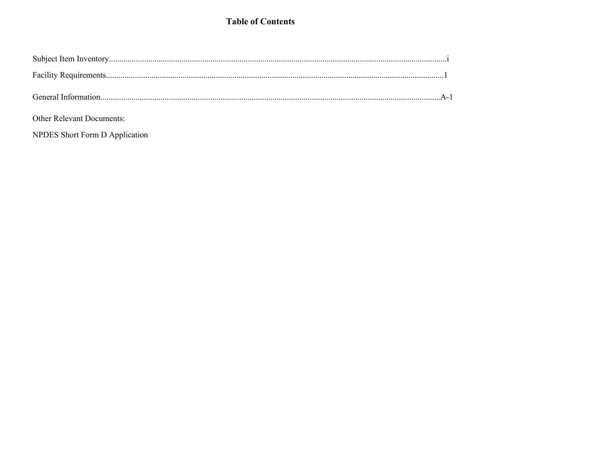# **Table of Contents**

| <b>Other Relevant Documents:</b> |  |
|----------------------------------|--|

NPDES Short Form D Application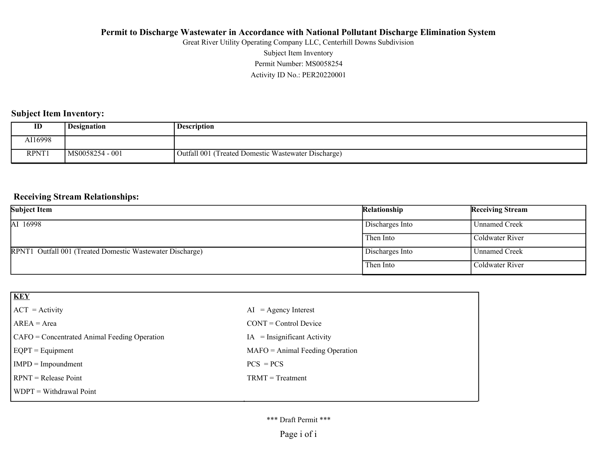Activity ID No.: PER20220001 Permit Number: MS0058254 Subject Item Inventory Great River Utility Operating Company LLC, Centerhill Downs Subdivision

# **Subject Item Inventory:**

| ID      | <b>Designation</b> | <b>Description</b>                                  |
|---------|--------------------|-----------------------------------------------------|
| AI16998 |                    |                                                     |
| RPNT1   | MS0058254 - 001    | Outfall 001 (Treated Domestic Wastewater Discharge) |

#### **Receiving Stream Relationships:**

| <b>Subject Item</b>                                       | Relationship    | <b>Receiving Stream</b> |
|-----------------------------------------------------------|-----------------|-------------------------|
| AI 16998                                                  | Discharges Into | Unnamed Creek           |
|                                                           | Then Into       | Coldwater River         |
| RPNT1 Outfall 001 (Treated Domestic Wastewater Discharge) | Discharges Into | Unnamed Creek           |
|                                                           | Then Into       | Coldwater River         |

| <b>KEY</b>                                   |                                   |
|----------------------------------------------|-----------------------------------|
| $ ACT = Activity$                            | $AI = Agency Interest$            |
| $AREA = Area$                                | $CONT = Control$ Device           |
| CAFO = Concentrated Animal Feeding Operation | $IA = Insignificant Activity$     |
| $EQPT = Equipment$                           | $MAFO = Animal Feeding Operation$ |
| $IMPD = Impoundment$                         | $PCS = PCs$                       |
| $RPNT = Release Point$                       | $TRMT = Treatment$                |
| $\vert$ WDPT = Withdrawal Point              |                                   |

#### \*\*\* Draft Permit \*\*\*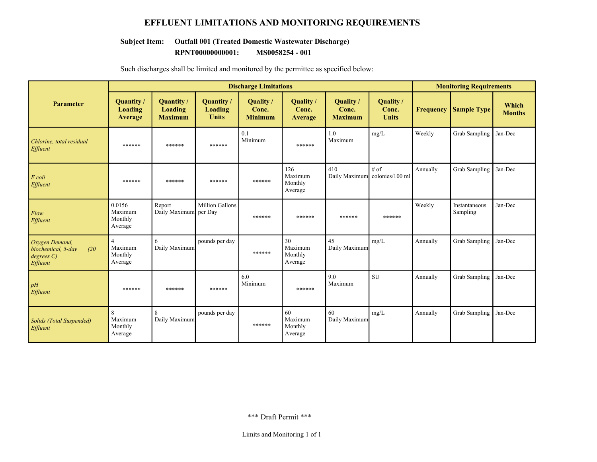# **EFFLUENT LIMITATIONS AND MONITORING REQUIREMENTS**

# **Subject Item: Outfall 001 (Treated Domestic Wastewater Discharge)**

**RPNT00000000001: MS0058254 - 001**

|                                                                     | <b>Discharge Limitations</b>                    |                                        |                                       |                                      | <b>Monitoring Requirements</b>       |                                      |                                    |                  |                           |                        |
|---------------------------------------------------------------------|-------------------------------------------------|----------------------------------------|---------------------------------------|--------------------------------------|--------------------------------------|--------------------------------------|------------------------------------|------------------|---------------------------|------------------------|
| <b>Parameter</b>                                                    | Quantity/<br>Loading<br><b>Average</b>          | Quantity/<br>Loading<br><b>Maximum</b> | Quantity /<br>Loading<br><b>Units</b> | Quality /<br>Conc.<br><b>Minimum</b> | Quality /<br>Conc.<br>Average        | Quality /<br>Conc.<br><b>Maximum</b> | Quality /<br>Conc.<br><b>Units</b> | <b>Frequency</b> | <b>Sample Type</b>        | Which<br><b>Months</b> |
| Chlorine, total residual<br>Effluent                                | ******                                          | ******                                 | ******                                | 0.1<br>Minimum                       | ******                               | 1.0<br>Maximum                       | mg/L                               | Weekly           | <b>Grab Sampling</b>      | Jan-Dec                |
| E coli<br>Effluent                                                  | ******                                          | ******                                 | ******                                | ******                               | 126<br>Maximum<br>Monthly<br>Average | 410<br>Daily Maximum                 | # of<br>colonies/100 ml            | Annually         | <b>Grab Sampling</b>      | Jan-Dec                |
| Flow<br>Effluent                                                    | 0.0156<br>Maximum<br>Monthly<br>Average         | Report<br>Daily Maximum per Day        | Million Gallons                       | ******                               | ******                               | ******                               | ******                             | Weekly           | Instantaneous<br>Sampling | Jan-Dec                |
| Oxygen Demand,<br>(20)<br>biochemical, 5-day<br>degreeC<br>Effluent | $\overline{4}$<br>Maximum<br>Monthly<br>Average | 6<br>Daily Maximum                     | pounds per day                        | ******                               | 30<br>Maximum<br>Monthly<br>Average  | 45<br>Daily Maximum                  | mg/L                               | Annually         | <b>Grab Sampling</b>      | Jan-Dec                |
| pH<br>Effluent                                                      | ******                                          | ******                                 | ******                                | 6.0<br>Minimum                       | ******                               | 9.0<br>Maximum                       | <b>SU</b>                          | Annually         | Grab Sampling             | Jan-Dec                |
| <b>Solids</b> (Total Suspended)<br>Effluent                         | 8<br>Maximum<br>Monthly<br>Average              | $\mathbf{8}$<br>Daily Maximum          | pounds per day                        | ******                               | 60<br>Maximum<br>Monthly<br>Average  | 60<br>Daily Maximum                  | mg/L                               | Annually         | <b>Grab Sampling</b>      | Jan-Dec                |

Such discharges shall be limited and monitored by the permittee as specified below: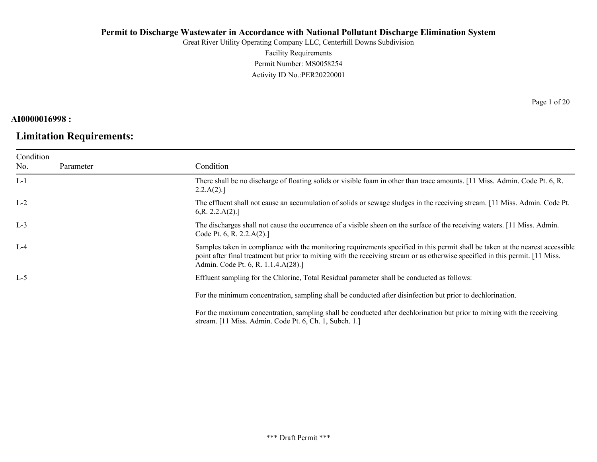Great River Utility Operating Company LLC, Centerhill Downs Subdivision Facility Requirements

Permit Number: MS0058254 Activity ID No.:PER20220001

# **AI0000016998 :**

# **Limitation Requirements:**

Page 1 of 20

| Condition<br>No. | Parameter | Condition                                                                                                                                                                                                                                                                                               |
|------------------|-----------|---------------------------------------------------------------------------------------------------------------------------------------------------------------------------------------------------------------------------------------------------------------------------------------------------------|
| $L-1$            |           | There shall be no discharge of floating solids or visible foam in other than trace amounts. [11 Miss. Admin. Code Pt. 6, R.<br>2.2.A(2).                                                                                                                                                                |
| $L-2$            |           | The effluent shall not cause an accumulation of solids or sewage sludges in the receiving stream. [11 Miss. Admin. Code Pt.<br>6, R. 2.2.A(2).                                                                                                                                                          |
| $L-3$            |           | The discharges shall not cause the occurrence of a visible sheen on the surface of the receiving waters. [11 Miss. Admin.<br>Code Pt. 6, R. 2.2. $A(2)$ .]                                                                                                                                              |
| $L-4$            |           | Samples taken in compliance with the monitoring requirements specified in this permit shall be taken at the nearest accessible<br>point after final treatment but prior to mixing with the receiving stream or as otherwise specified in this permit. [11 Miss.]<br>Admin. Code Pt. 6, R. 1.1.4.A(28).] |
| $L-5$            |           | Effluent sampling for the Chlorine, Total Residual parameter shall be conducted as follows:                                                                                                                                                                                                             |
|                  |           | For the minimum concentration, sampling shall be conducted after disinfection but prior to dechlorination.                                                                                                                                                                                              |
|                  |           | For the maximum concentration, sampling shall be conducted after dechlorination but prior to mixing with the receiving<br>stream. [11 Miss. Admin. Code Pt. 6, Ch. 1, Subch. 1.]                                                                                                                        |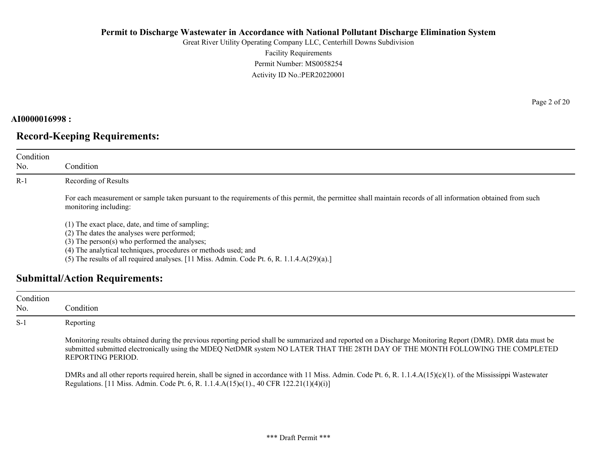Great River Utility Operating Company LLC, Centerhill Downs Subdivision Facility Requirements Permit Number: MS0058254 Activity ID No.:PER20220001

## **AI0000016998 :**

# **Record-Keeping Requirements:**

| Condition<br>No. | Condition                                                                                                                                                                                                           |
|------------------|---------------------------------------------------------------------------------------------------------------------------------------------------------------------------------------------------------------------|
| $R-1$            | Recording of Results                                                                                                                                                                                                |
|                  | For each measurement or sample taken pursuant to the requirements of this permit, the permittee shall maintain records of all information obtained from such<br>monitoring including:                               |
|                  | (1) The exact place, date, and time of sampling;<br>(2) The dates the analyses were performed;<br>$(3)$ The person(s) who performed the analyses;<br>(4) The analytical techniques, procedures or methods used; and |

(5) The results of all required analyses. [11 Miss. Admin. Code Pt. 6, R. 1.1.4.A(29)(a).]

# **Submittal/Action Requirements:**

| Condition<br>No. | Condition                                                                                                                                                                                                                                                                                                          |
|------------------|--------------------------------------------------------------------------------------------------------------------------------------------------------------------------------------------------------------------------------------------------------------------------------------------------------------------|
| $S-1$            | Reporting                                                                                                                                                                                                                                                                                                          |
|                  | Monitoring results obtained during the previous reporting period shall be summarized and reported on a Discharge Monitoring Report (DMR). DMR data must be<br>submitted submitted electronically using the MDEQ NetDMR system NO LATER THAT THE 28TH DAY OF THE MONTH FOLLOWING THE COMPLETED<br>REPORTING PERIOD. |
|                  | DMRs and all other reports required herein, shall be signed in accordance with 11 Miss. Admin. Code Pt. 6, R. 1.1.4. $A(15)(c)(1)$ . of the Mississippi Wastewater<br>Regulations. [11 Miss. Admin. Code Pt. 6, R. 1.1.4.A(15)c(1)., 40 CFR 122.21(1)(4)(i)]                                                       |

Page 2 of 20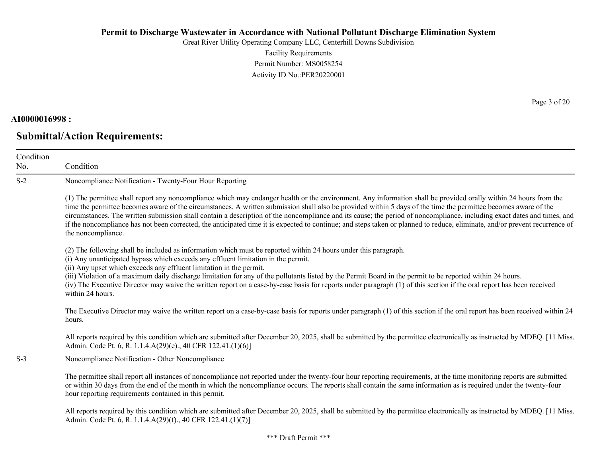Great River Utility Operating Company LLC, Centerhill Downs Subdivision Facility Requirements Permit Number: MS0058254 Activity ID No.:PER20220001

#### **AI0000016998 :**

No.

# **Submittal/Action Requirements:**

Condition Condition S-2 Noncompliance Notification - Twenty-Four Hour Reporting (1) The permittee shall report any noncompliance which may endanger health or the environment. Any information shall be provided orally within 24 hours from the time the permittee becomes aware of the circumstances. A written submission shall also be provided within 5 days of the time the permittee becomes aware of the circumstances. The written submission shall contain a description of the noncompliance and its cause; the period of noncompliance, including exact dates and times, and if the noncompliance has not been corrected, the anticipated time it is expected to continue; and steps taken or planned to reduce, eliminate, and/or prevent recurrence of the noncompliance. (2) The following shall be included as information which must be reported within 24 hours under this paragraph. (i) Any unanticipated bypass which exceeds any effluent limitation in the permit. (ii) Any upset which exceeds any effluent limitation in the permit. (iii) Violation of a maximum daily discharge limitation for any of the pollutants listed by the Permit Board in the permit to be reported within 24 hours. (iv) The Executive Director may waive the written report on a case-by-case basis for reports under paragraph (1) of this section if the oral report has been received within 24 hours. The Executive Director may waive the written report on a case-by-case basis for reports under paragraph (1) of this section if the oral report has been received within 24 hours. All reports required by this condition which are submitted after December 20, 2025, shall be submitted by the permittee electronically as instructed by MDEQ. [11 Miss.] Admin. Code Pt. 6, R. 1.1.4.A(29)(e)., 40 CFR 122.41.(1)(6)] S-3 Noncompliance Notification - Other Noncompliance The permittee shall report all instances of noncompliance not reported under the twenty-four hour reporting requirements, at the time monitoring reports are submitted or within 30 days from the end of the month in which the noncompliance occurs. The reports shall contain the same information as is required under the twenty-four hour reporting requirements contained in this permit.

All reports required by this condition which are submitted after December 20, 2025, shall be submitted by the permittee electronically as instructed by MDEQ. [11 Miss.] Admin. Code Pt. 6, R. 1.1.4.A(29)(f)., 40 CFR 122.41.(1)(7)]

Page 3 of 20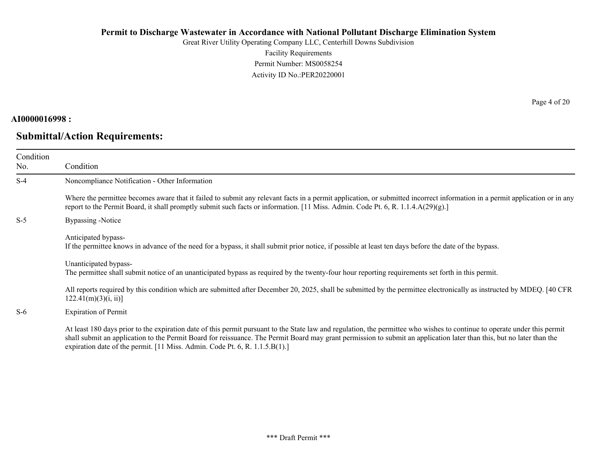Great River Utility Operating Company LLC, Centerhill Downs Subdivision Facility Requirements Permit Number: MS0058254 Activity ID No.:PER20220001

## **AI0000016998 :**

# **Submittal/Action Requirements:**

Page 4 of 20

| Condition<br>No. | Condition                                                                                                                                                                                                                                                                                                                                                                                                                         |
|------------------|-----------------------------------------------------------------------------------------------------------------------------------------------------------------------------------------------------------------------------------------------------------------------------------------------------------------------------------------------------------------------------------------------------------------------------------|
| $S-4$            | Noncompliance Notification - Other Information                                                                                                                                                                                                                                                                                                                                                                                    |
|                  | Where the permittee becomes aware that it failed to submit any relevant facts in a permit application, or submitted incorrect information in a permit application or in any<br>report to the Permit Board, it shall promptly submit such facts or information. [11 Miss. Admin. Code Pt. 6, R. 1.1.4.A(29)(g).]                                                                                                                   |
| $S-5$            | Bypassing -Notice                                                                                                                                                                                                                                                                                                                                                                                                                 |
|                  | Anticipated bypass-<br>If the permittee knows in advance of the need for a bypass, it shall submit prior notice, if possible at least ten days before the date of the bypass.                                                                                                                                                                                                                                                     |
|                  | Unanticipated bypass-<br>The permittee shall submit notice of an unanticipated bypass as required by the twenty-four hour reporting requirements set forth in this permit.                                                                                                                                                                                                                                                        |
|                  | All reports required by this condition which are submitted after December 20, 2025, shall be submitted by the permittee electronically as instructed by MDEQ. [40 CFR<br>122.41(m)(3)(i, ii)                                                                                                                                                                                                                                      |
| $S-6$            | <b>Expiration of Permit</b>                                                                                                                                                                                                                                                                                                                                                                                                       |
|                  | At least 180 days prior to the expiration date of this permit pursuant to the State law and regulation, the permittee who wishes to continue to operate under this permit<br>shall submit an application to the Permit Board for reissuance. The Permit Board may grant permission to submit an application later than this, but no later than the<br>expiration date of the permit. [11 Miss. Admin. Code Pt. 6, R. 1.1.5.B(1).] |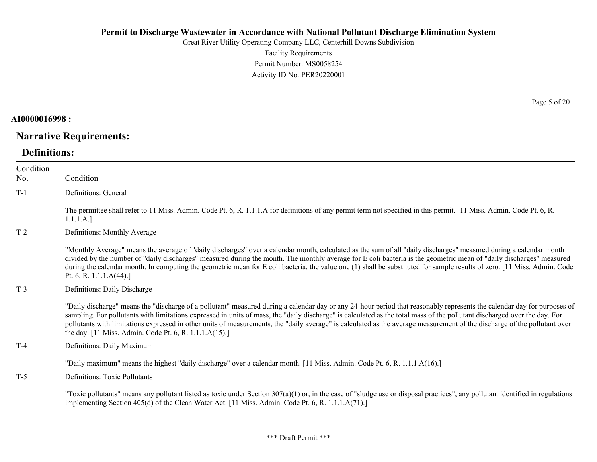Great River Utility Operating Company LLC, Centerhill Downs Subdivision Facility Requirements Permit Number: MS0058254 Activity ID No.:PER20220001

**AI0000016998 :**

## **Narrative Requirements:**

### **Definitions:**

Condition No. Condition T-1 Definitions: General The permittee shall refer to 11 Miss. Admin. Code Pt. 6, R. 1.1.1.A for definitions of any permit term not specified in this permit. [11 Miss. Admin. Code Pt. 6, R. 1.1.1.A.] T-2 Definitions: Monthly Average "Monthly Average" means the average of "daily discharges" over a calendar month, calculated as the sum of all "daily discharges" measured during a calendar month divided by the number of "daily discharges" measured during the month. The monthly average for E coli bacteria is the geometric mean of "daily discharges" measured during the calendar month. In computing the geometric mean for E coli bacteria, the value one (1) shall be substituted for sample results of zero. [11 Miss. Admin. Code Pt. 6, R. 1.1.1.A(44).] T-3 Definitions: Daily Discharge "Daily discharge" means the "discharge of a pollutant" measured during a calendar day or any 24-hour period that reasonably represents the calendar day for purposes of sampling. For pollutants with limitations expressed in units of mass, the "daily discharge" is calculated as the total mass of the pollutant discharged over the day. For pollutants with limitations expressed in other units of measurements, the "daily average" is calculated as the average measurement of the discharge of the pollutant over the day. [11 Miss. Admin. Code Pt. 6, R. 1.1.1.A(15).] T-4 Definitions: Daily Maximum "Daily maximum" means the highest "daily discharge" over a calendar month. [11 Miss. Admin. Code Pt. 6, R. 1.1.1.A(16).] T-5 Definitions: Toxic Pollutants "Toxic pollutants" means any pollutant listed as toxic under Section  $307(a)(1)$  or, in the case of "sludge use or disposal practices", any pollutant identified in regulations implementing Section 405(d) of the Clean Water Act. [11 Miss. Admin. Code Pt. 6, R. 1.1.1.A(71).]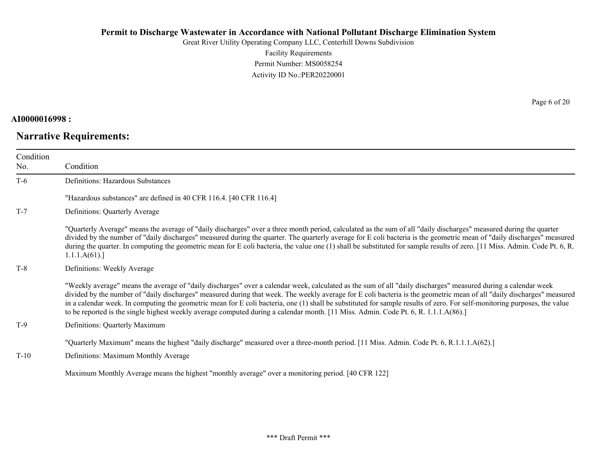Great River Utility Operating Company LLC, Centerhill Downs Subdivision Facility Requirements Permit Number: MS0058254 Activity ID No.:PER20220001

### **AI0000016998 :**

# **Narrative Requirements:**

Page 6 of 20

| Condition<br>No. | Condition                                                                                                                                                                                                                                                                                                                                                                                                                                                                                                                                                                                                                                                    |
|------------------|--------------------------------------------------------------------------------------------------------------------------------------------------------------------------------------------------------------------------------------------------------------------------------------------------------------------------------------------------------------------------------------------------------------------------------------------------------------------------------------------------------------------------------------------------------------------------------------------------------------------------------------------------------------|
| $T-6$            | Definitions: Hazardous Substances                                                                                                                                                                                                                                                                                                                                                                                                                                                                                                                                                                                                                            |
|                  | "Hazardous substances" are defined in 40 CFR 116.4. [40 CFR 116.4]                                                                                                                                                                                                                                                                                                                                                                                                                                                                                                                                                                                           |
| $T-7$            | Definitions: Quarterly Average                                                                                                                                                                                                                                                                                                                                                                                                                                                                                                                                                                                                                               |
|                  | "Quarterly Average" means the average of "daily discharges" over a three month period, calculated as the sum of all "daily discharges" measured during the quarter<br>divided by the number of "daily discharges" measured during the quarter. The quarterly average for E coli bacteria is the geometric mean of "daily discharges" measured<br>during the quarter. In computing the geometric mean for E coli bacteria, the value one (1) shall be substituted for sample results of zero. [11 Miss. Admin. Code Pt. 6, R.<br>1.1.1.A(61).                                                                                                                 |
| $T-8$            | Definitions: Weekly Average                                                                                                                                                                                                                                                                                                                                                                                                                                                                                                                                                                                                                                  |
|                  | "Weekly average" means the average of "daily discharges" over a calendar week, calculated as the sum of all "daily discharges" measured during a calendar week<br>divided by the number of "daily discharges" measured during that week. The weekly average for E coli bacteria is the geometric mean of all "daily discharges" measured<br>in a calendar week. In computing the geometric mean for E coli bacteria, one (1) shall be substituted for sample results of zero. For self-monitoring purposes, the value<br>to be reported is the single highest weekly average computed during a calendar month. [11 Miss. Admin. Code Pt. 6, R. 1.1.1.A(86).] |
| $T-9$            | Definitions: Quarterly Maximum                                                                                                                                                                                                                                                                                                                                                                                                                                                                                                                                                                                                                               |
|                  | "Quarterly Maximum" means the highest "daily discharge" measured over a three-month period. [11 Miss. Admin. Code Pt. 6, R.1.1.1.A(62).]                                                                                                                                                                                                                                                                                                                                                                                                                                                                                                                     |
| $T-10$           | Definitions: Maximum Monthly Average                                                                                                                                                                                                                                                                                                                                                                                                                                                                                                                                                                                                                         |
|                  | Maximum Monthly Average means the highest "monthly average" over a monitoring period. [40 CFR 122]                                                                                                                                                                                                                                                                                                                                                                                                                                                                                                                                                           |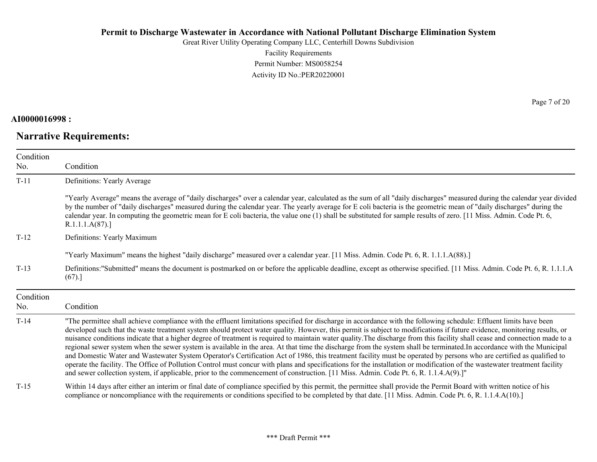Great River Utility Operating Company LLC, Centerhill Downs Subdivision Facility Requirements Permit Number: MS0058254 Activity ID No.:PER20220001

## **AI0000016998 :**

# **Narrative Requirements:**

Page 7 of 20

| Condition |                                                                                                                                                                                                                                                                                                                                                                                                                                                                                                                                                                                                                                                                                                                                                                                                                                                                                                                                                                                                                                                                                                                                                                                                      |
|-----------|------------------------------------------------------------------------------------------------------------------------------------------------------------------------------------------------------------------------------------------------------------------------------------------------------------------------------------------------------------------------------------------------------------------------------------------------------------------------------------------------------------------------------------------------------------------------------------------------------------------------------------------------------------------------------------------------------------------------------------------------------------------------------------------------------------------------------------------------------------------------------------------------------------------------------------------------------------------------------------------------------------------------------------------------------------------------------------------------------------------------------------------------------------------------------------------------------|
| No.       | Condition                                                                                                                                                                                                                                                                                                                                                                                                                                                                                                                                                                                                                                                                                                                                                                                                                                                                                                                                                                                                                                                                                                                                                                                            |
| $T-11$    | Definitions: Yearly Average                                                                                                                                                                                                                                                                                                                                                                                                                                                                                                                                                                                                                                                                                                                                                                                                                                                                                                                                                                                                                                                                                                                                                                          |
|           | "Yearly Average" means the average of "daily discharges" over a calendar year, calculated as the sum of all "daily discharges" measured during the calendar year divided<br>by the number of "daily discharges" measured during the calendar year. The yearly average for E coli bacteria is the geometric mean of "daily discharges" during the<br>calendar year. In computing the geometric mean for E coli bacteria, the value one (1) shall be substituted for sample results of zero. [11 Miss. Admin. Code Pt. 6,<br>R.1.1.1.A(87).                                                                                                                                                                                                                                                                                                                                                                                                                                                                                                                                                                                                                                                            |
| $T-12$    | Definitions: Yearly Maximum                                                                                                                                                                                                                                                                                                                                                                                                                                                                                                                                                                                                                                                                                                                                                                                                                                                                                                                                                                                                                                                                                                                                                                          |
|           | "Yearly Maximum" means the highest "daily discharge" measured over a calendar year. [11 Miss. Admin. Code Pt. 6, R. 1.1.1.A(88).]                                                                                                                                                                                                                                                                                                                                                                                                                                                                                                                                                                                                                                                                                                                                                                                                                                                                                                                                                                                                                                                                    |
| $T-13$    | Definitions:"Submitted" means the document is postmarked on or before the applicable deadline, except as otherwise specified. [11 Miss. Admin. Code Pt. 6, R. 1.1.1.A<br>(67).                                                                                                                                                                                                                                                                                                                                                                                                                                                                                                                                                                                                                                                                                                                                                                                                                                                                                                                                                                                                                       |
| Condition |                                                                                                                                                                                                                                                                                                                                                                                                                                                                                                                                                                                                                                                                                                                                                                                                                                                                                                                                                                                                                                                                                                                                                                                                      |
| No.       | Condition                                                                                                                                                                                                                                                                                                                                                                                                                                                                                                                                                                                                                                                                                                                                                                                                                                                                                                                                                                                                                                                                                                                                                                                            |
| $T-14$    | "The permittee shall achieve compliance with the effluent limitations specified for discharge in accordance with the following schedule: Effluent limits have been<br>developed such that the waste treatment system should protect water quality. However, this permit is subject to modifications if future evidence, monitoring results, or<br>nuisance conditions indicate that a higher degree of treatment is required to maintain water quality. The discharge from this facility shall cease and connection made to a<br>regional sewer system when the sewer system is available in the area. At that time the discharge from the system shall be terminated. In accordance with the Municipal<br>and Domestic Water and Wastewater System Operator's Certification Act of 1986, this treatment facility must be operated by persons who are certified as qualified to<br>operate the facility. The Office of Pollution Control must concur with plans and specifications for the installation or modification of the wastewater treatment facility<br>and sewer collection system, if applicable, prior to the commencement of construction. [11 Miss. Admin. Code Pt. 6, R. 1.1.4.A(9).]" |
| $T-15$    | Within 14 days after either an interim or final date of compliance specified by this permit, the permittee shall provide the Permit Board with written notice of his<br>compliance or noncompliance with the requirements or conditions specified to be completed by that date. [11 Miss. Admin. Code Pt. 6, R. 1.1.4.A(10).]                                                                                                                                                                                                                                                                                                                                                                                                                                                                                                                                                                                                                                                                                                                                                                                                                                                                        |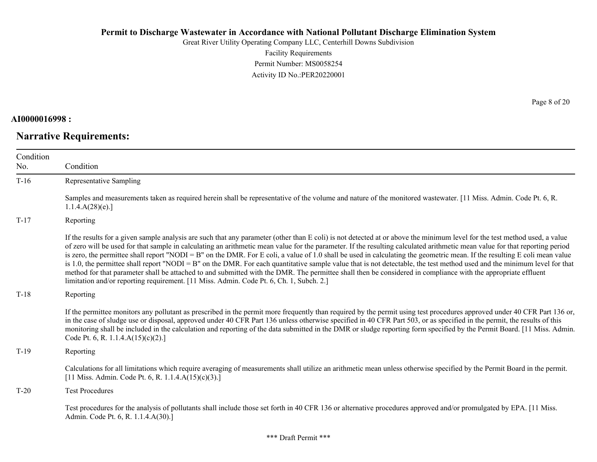Great River Utility Operating Company LLC, Centerhill Downs Subdivision Facility Requirements Permit Number: MS0058254 Activity ID No.:PER20220001

#### **AI0000016998 :**

# **Narrative Requirements:**

Page 8 of 20

| Condition<br>No. | Condition                                                                                                                                                                                                                                                                                                                                                                                                                                                                                                                                                                                                                                                                                                                                                                                                                                                                                                                                                                      |
|------------------|--------------------------------------------------------------------------------------------------------------------------------------------------------------------------------------------------------------------------------------------------------------------------------------------------------------------------------------------------------------------------------------------------------------------------------------------------------------------------------------------------------------------------------------------------------------------------------------------------------------------------------------------------------------------------------------------------------------------------------------------------------------------------------------------------------------------------------------------------------------------------------------------------------------------------------------------------------------------------------|
| $T-16$           | Representative Sampling                                                                                                                                                                                                                                                                                                                                                                                                                                                                                                                                                                                                                                                                                                                                                                                                                                                                                                                                                        |
|                  | Samples and measurements taken as required herein shall be representative of the volume and nature of the monitored wastewater. [11 Miss. Admin. Code Pt. 6, R.<br>1.1.4.A(28)(e).                                                                                                                                                                                                                                                                                                                                                                                                                                                                                                                                                                                                                                                                                                                                                                                             |
| $T-17$           | Reporting                                                                                                                                                                                                                                                                                                                                                                                                                                                                                                                                                                                                                                                                                                                                                                                                                                                                                                                                                                      |
|                  | If the results for a given sample analysis are such that any parameter (other than E coli) is not detected at or above the minimum level for the test method used, a value<br>of zero will be used for that sample in calculating an arithmetic mean value for the parameter. If the resulting calculated arithmetic mean value for that reporting period<br>is zero, the permittee shall report "NODI = B" on the DMR. For E coli, a value of 1.0 shall be used in calculating the geometric mean. If the resulting E coli mean value<br>is 1.0, the permittee shall report "NODI = B" on the DMR. For each quantitative sample value that is not detectable, the test method used and the minimum level for that<br>method for that parameter shall be attached to and submitted with the DMR. The permittee shall then be considered in compliance with the appropriate effluent<br>limitation and/or reporting requirement. [11 Miss. Admin. Code Pt. 6, Ch. 1, Subch. 2.] |
| $T-18$           | Reporting                                                                                                                                                                                                                                                                                                                                                                                                                                                                                                                                                                                                                                                                                                                                                                                                                                                                                                                                                                      |
|                  | If the permittee monitors any pollutant as prescribed in the permit more frequently than required by the permit using test procedures approved under 40 CFR Part 136 or,<br>in the case of sludge use or disposal, approved under 40 CFR Part 136 unless otherwise specified in 40 CFR Part 503, or as specified in the permit, the results of this<br>monitoring shall be included in the calculation and reporting of the data submitted in the DMR or sludge reporting form specified by the Permit Board. [11 Miss. Admin.<br>Code Pt. 6, R. 1.1.4. $A(15)(c)(2)$ .]                                                                                                                                                                                                                                                                                                                                                                                                       |
| $T-19$           | Reporting                                                                                                                                                                                                                                                                                                                                                                                                                                                                                                                                                                                                                                                                                                                                                                                                                                                                                                                                                                      |
|                  | Calculations for all limitations which require averaging of measurements shall utilize an arithmetic mean unless otherwise specified by the Permit Board in the permit.<br>[11 Miss. Admin. Code Pt. 6, R. 1.1.4.A(15)(c)(3).]                                                                                                                                                                                                                                                                                                                                                                                                                                                                                                                                                                                                                                                                                                                                                 |
| $T-20$           | <b>Test Procedures</b>                                                                                                                                                                                                                                                                                                                                                                                                                                                                                                                                                                                                                                                                                                                                                                                                                                                                                                                                                         |
|                  | Test procedures for the analysis of pollutants shall include those set forth in 40 CFR 136 or alternative procedures approved and/or promulgated by EPA. [11 Miss.]<br>Admin. Code Pt. 6, R. 1.1.4.A(30).]                                                                                                                                                                                                                                                                                                                                                                                                                                                                                                                                                                                                                                                                                                                                                                     |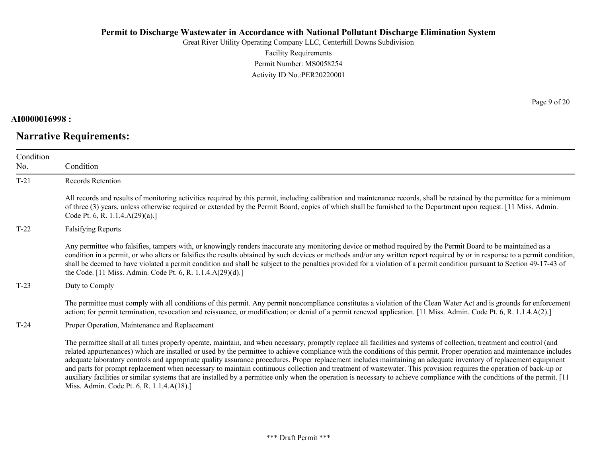Great River Utility Operating Company LLC, Centerhill Downs Subdivision Facility Requirements Permit Number: MS0058254 Activity ID No.:PER20220001

## **AI0000016998 :**

# **Narrative Requirements:**

Page 9 of 20

| Condition<br>No. | Condition                                                                                                                                                                                                                                                                                                                                                                                                                                                                                                                                                                                                                                                                                                                                                                                                                                                                   |
|------------------|-----------------------------------------------------------------------------------------------------------------------------------------------------------------------------------------------------------------------------------------------------------------------------------------------------------------------------------------------------------------------------------------------------------------------------------------------------------------------------------------------------------------------------------------------------------------------------------------------------------------------------------------------------------------------------------------------------------------------------------------------------------------------------------------------------------------------------------------------------------------------------|
| $T-21$           | Records Retention                                                                                                                                                                                                                                                                                                                                                                                                                                                                                                                                                                                                                                                                                                                                                                                                                                                           |
|                  | All records and results of monitoring activities required by this permit, including calibration and maintenance records, shall be retained by the permittee for a minimum<br>of three (3) years, unless otherwise required or extended by the Permit Board, copies of which shall be furnished to the Department upon request. [11 Miss. Admin.<br>Code Pt. 6, R. 1.1.4. $A(29)(a)$ .]                                                                                                                                                                                                                                                                                                                                                                                                                                                                                      |
| $T-22$           | <b>Falsifying Reports</b>                                                                                                                                                                                                                                                                                                                                                                                                                                                                                                                                                                                                                                                                                                                                                                                                                                                   |
|                  | Any permittee who falsifies, tampers with, or knowingly renders inaccurate any monitoring device or method required by the Permit Board to be maintained as a<br>condition in a permit, or who alters or falsifies the results obtained by such devices or methods and/or any written report required by or in response to a permit condition,<br>shall be deemed to have violated a permit condition and shall be subject to the penalties provided for a violation of a permit condition pursuant to Section 49-17-43 of<br>the Code. [11 Miss. Admin. Code Pt. 6, R. 1.1.4.A(29)(d).]                                                                                                                                                                                                                                                                                    |
| $T-23$           | Duty to Comply                                                                                                                                                                                                                                                                                                                                                                                                                                                                                                                                                                                                                                                                                                                                                                                                                                                              |
|                  | The permittee must comply with all conditions of this permit. Any permit noncompliance constitutes a violation of the Clean Water Act and is grounds for enforcement<br>action; for permit termination, revocation and reissuance, or modification; or denial of a permit renewal application. [11 Miss. Admin. Code Pt. 6, R. 1.1.4.A(2).]                                                                                                                                                                                                                                                                                                                                                                                                                                                                                                                                 |
| $T-24$           | Proper Operation, Maintenance and Replacement                                                                                                                                                                                                                                                                                                                                                                                                                                                                                                                                                                                                                                                                                                                                                                                                                               |
|                  | The permittee shall at all times properly operate, maintain, and when necessary, promptly replace all facilities and systems of collection, treatment and control (and<br>related appurtenances) which are installed or used by the permittee to achieve compliance with the conditions of this permit. Proper operation and maintenance includes<br>adequate laboratory controls and appropriate quality assurance procedures. Proper replacement includes maintaining an adequate inventory of replacement equipment<br>and parts for prompt replacement when necessary to maintain continuous collection and treatment of wastewater. This provision requires the operation of back-up or<br>auxiliary facilities or similar systems that are installed by a permittee only when the operation is necessary to achieve compliance with the conditions of the permit. [11 |

Miss. Admin. Code Pt. 6, R. 1.1.4.A(18).]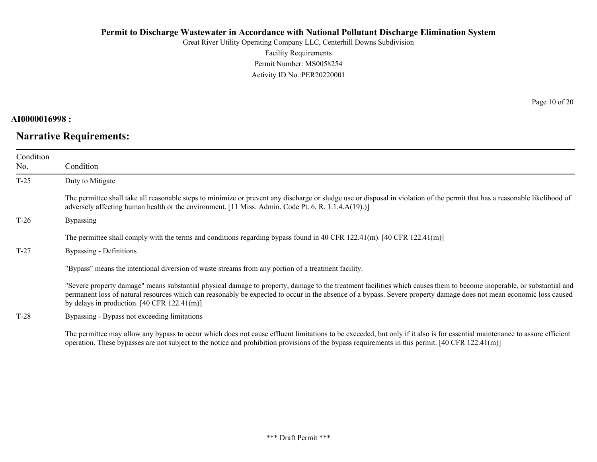Great River Utility Operating Company LLC, Centerhill Downs Subdivision Facility Requirements Permit Number: MS0058254 Activity ID No.:PER20220001

#### **AI0000016998 :**

# **Narrative Requirements:**

Page 10 of 20

| Condition<br>No. | Condition                                                                                                                                                                                                                                                                                                                                                                                                       |
|------------------|-----------------------------------------------------------------------------------------------------------------------------------------------------------------------------------------------------------------------------------------------------------------------------------------------------------------------------------------------------------------------------------------------------------------|
| $T-25$           | Duty to Mitigate                                                                                                                                                                                                                                                                                                                                                                                                |
|                  | The permittee shall take all reasonable steps to minimize or prevent any discharge or sludge use or disposal in violation of the permit that has a reasonable likelihood of<br>adversely affecting human health or the environment. [11 Miss. Admin. Code Pt. 6, R. 1.1.4.A(19).)]                                                                                                                              |
| $T-26$           | <b>Bypassing</b>                                                                                                                                                                                                                                                                                                                                                                                                |
|                  | The permittee shall comply with the terms and conditions regarding bypass found in 40 CFR 122.41(m). $[40 \text{ CFR } 122.41 \text{ (m)}]$                                                                                                                                                                                                                                                                     |
| $T-27$           | Bypassing - Definitions                                                                                                                                                                                                                                                                                                                                                                                         |
|                  | "Bypass" means the intentional diversion of waste streams from any portion of a treatment facility.                                                                                                                                                                                                                                                                                                             |
|                  | "Severe property damage" means substantial physical damage to property, damage to the treatment facilities which causes them to become inoperable, or substantial and<br>permanent loss of natural resources which can reasonably be expected to occur in the absence of a bypass. Severe property damage does not mean economic loss caused<br>by delays in production. $[40 \text{ CFR } 122.41 \text{ (m)}]$ |
| $T-28$           | Bypassing - Bypass not exceeding limitations                                                                                                                                                                                                                                                                                                                                                                    |

The permittee may allow any bypass to occur which does not cause effluent limitations to be exceeded, but only if it also is for essential maintenance to assure efficient operation. These bypasses are not subject to the notice and prohibition provisions of the bypass requirements in this permit. [40 CFR 122.41(m)]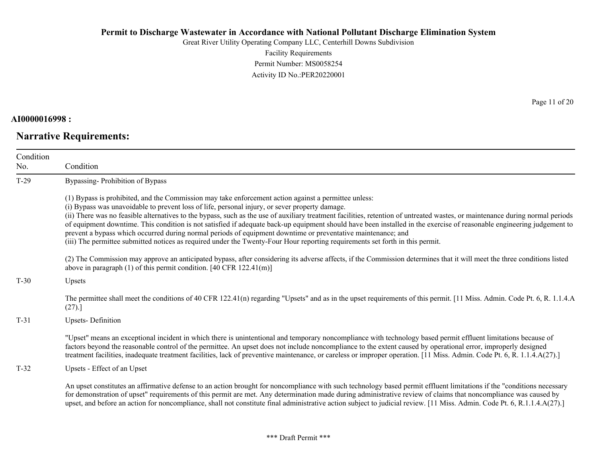Great River Utility Operating Company LLC, Centerhill Downs Subdivision Facility Requirements Permit Number: MS0058254 Activity ID No.:PER20220001

**AI0000016998 :**

**Narrative Requirements:**

Page 11 of 20

| Condition<br>No. | Condition                                                                                                                                                                                                                                                                                                                                                                                                                                                                                                                                                                                                                                                                                                                                                                                                          |
|------------------|--------------------------------------------------------------------------------------------------------------------------------------------------------------------------------------------------------------------------------------------------------------------------------------------------------------------------------------------------------------------------------------------------------------------------------------------------------------------------------------------------------------------------------------------------------------------------------------------------------------------------------------------------------------------------------------------------------------------------------------------------------------------------------------------------------------------|
| $T-29$           | Bypassing-Prohibition of Bypass                                                                                                                                                                                                                                                                                                                                                                                                                                                                                                                                                                                                                                                                                                                                                                                    |
|                  | (1) Bypass is prohibited, and the Commission may take enforcement action against a permittee unless:<br>(i) Bypass was unavoidable to prevent loss of life, personal injury, or sever property damage.<br>(ii) There was no feasible alternatives to the bypass, such as the use of auxiliary treatment facilities, retention of untreated wastes, or maintenance during normal periods<br>of equipment downtime. This condition is not satisfied if adequate back-up equipment should have been installed in the exercise of reasonable engineering judgement to<br>prevent a bypass which occurred during normal periods of equipment downtime or preventative maintenance; and<br>(iii) The permittee submitted notices as required under the Twenty-Four Hour reporting requirements set forth in this permit. |
|                  | (2) The Commission may approve an anticipated bypass, after considering its adverse affects, if the Commission determines that it will meet the three conditions listed<br>above in paragraph $(1)$ of this permit condition. [40 CFR 122.41(m)]                                                                                                                                                                                                                                                                                                                                                                                                                                                                                                                                                                   |
| $T-30$           | Upsets                                                                                                                                                                                                                                                                                                                                                                                                                                                                                                                                                                                                                                                                                                                                                                                                             |
|                  | The permittee shall meet the conditions of 40 CFR 122.41(n) regarding "Upsets" and as in the upset requirements of this permit. [11 Miss. Admin. Code Pt. 6, R. 1.1.4.A<br>(27).                                                                                                                                                                                                                                                                                                                                                                                                                                                                                                                                                                                                                                   |
| $T-31$           | <b>Upsets-Definition</b>                                                                                                                                                                                                                                                                                                                                                                                                                                                                                                                                                                                                                                                                                                                                                                                           |
|                  | "Upset" means an exceptional incident in which there is unintentional and temporary noncompliance with technology based permit effluent limitations because of<br>factors beyond the reasonable control of the permittee. An upset does not include noncompliance to the extent caused by operational error, improperly designed<br>treatment facilities, inadequate treatment facilities, lack of preventive maintenance, or careless or improper operation. [11 Miss. Admin. Code Pt. 6, R. 1.1.4.A(27).]                                                                                                                                                                                                                                                                                                        |
| $T-32$           | Upsets - Effect of an Upset                                                                                                                                                                                                                                                                                                                                                                                                                                                                                                                                                                                                                                                                                                                                                                                        |
|                  | An upset constitutes an affirmative defense to an action brought for noncompliance with such technology based permit effluent limitations if the "conditions necessary<br>for demonstration of upset" requirements of this permit are met. Any determination made during administrative review of claims that noncompliance was caused by<br>upset, and before an action for noncompliance, shall not constitute final administrative action subject to judicial review. [11 Miss. Admin. Code Pt. 6, R.1.1.4.A(27).]                                                                                                                                                                                                                                                                                              |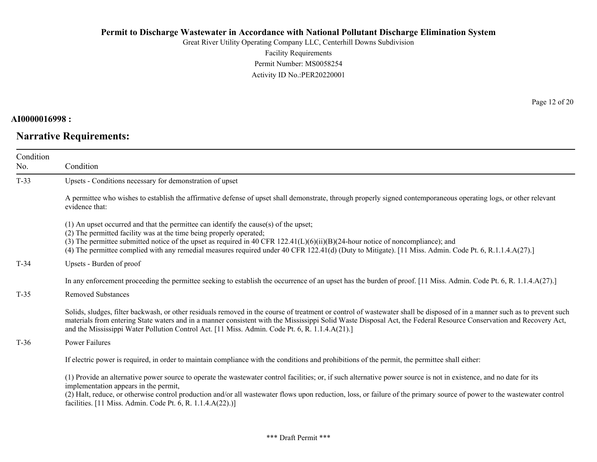Great River Utility Operating Company LLC, Centerhill Downs Subdivision Facility Requirements Permit Number: MS0058254 Activity ID No.:PER20220001

## **AI0000016998 :**

# **Narrative Requirements:**

Page 12 of 20

| Condition<br>No. | Condition                                                                                                                                                                                                                                                                                                                                                                                                                                                   |
|------------------|-------------------------------------------------------------------------------------------------------------------------------------------------------------------------------------------------------------------------------------------------------------------------------------------------------------------------------------------------------------------------------------------------------------------------------------------------------------|
| $T-33$           | Upsets - Conditions necessary for demonstration of upset                                                                                                                                                                                                                                                                                                                                                                                                    |
|                  | A permittee who wishes to establish the affirmative defense of upset shall demonstrate, through properly signed contemporaneous operating logs, or other relevant<br>evidence that:                                                                                                                                                                                                                                                                         |
|                  | (1) An upset occurred and that the permittee can identify the cause(s) of the upset;<br>(2) The permitted facility was at the time being properly operated;<br>(3) The permittee submitted notice of the upset as required in 40 CFR $122.41(L)(6)(ii)(B)(24$ -hour notice of noncompliance); and<br>(4) The permittee complied with any remedial measures required under 40 CFR 122.41(d) (Duty to Mitigate). [11 Miss. Admin. Code Pt. 6, R.1.1.4.A(27).] |
| $T-34$           | Upsets - Burden of proof                                                                                                                                                                                                                                                                                                                                                                                                                                    |
|                  | In any enforcement proceeding the permittee seeking to establish the occurrence of an upset has the burden of proof. [11 Miss. Admin. Code Pt. 6, R. 1.1.4.A(27).]                                                                                                                                                                                                                                                                                          |
| $T-35$           | <b>Removed Substances</b>                                                                                                                                                                                                                                                                                                                                                                                                                                   |
|                  | Solids, sludges, filter backwash, or other residuals removed in the course of treatment or control of wastewater shall be disposed of in a manner such as to prevent such<br>materials from entering State waters and in a manner consistent with the Mississippi Solid Waste Disposal Act, the Federal Resource Conservation and Recovery Act,<br>and the Mississippi Water Pollution Control Act. [11 Miss. Admin. Code Pt. 6, R. 1.1.4.A(21).]           |
| $T-36$           | Power Failures                                                                                                                                                                                                                                                                                                                                                                                                                                              |
|                  | If electric power is required, in order to maintain compliance with the conditions and prohibitions of the permit, the permittee shall either:                                                                                                                                                                                                                                                                                                              |
|                  | (1) Provide an alternative power source to operate the wastewater control facilities; or, if such alternative power source is not in existence, and no date for its<br>implementation appears in the permit,                                                                                                                                                                                                                                                |
|                  | (2) Halt, reduce, or otherwise control production and/or all wastewater flows upon reduction, loss, or failure of the primary source of power to the wastewater control<br>facilities. [11 Miss. Admin. Code Pt. 6, R. 1.1.4.A(22).)]                                                                                                                                                                                                                       |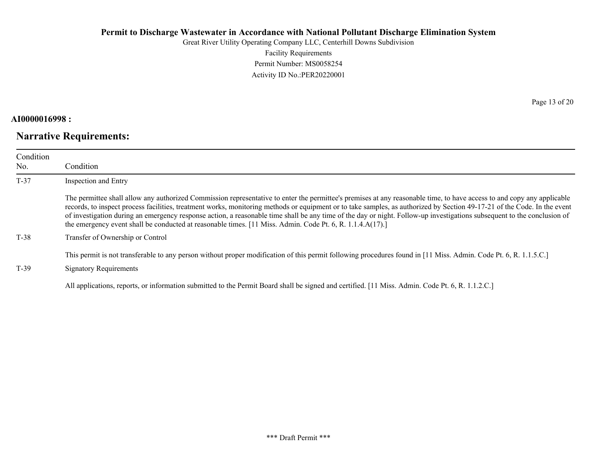Great River Utility Operating Company LLC, Centerhill Downs Subdivision Facility Requirements Permit Number: MS0058254 Activity ID No.:PER20220001

## **AI0000016998 :**

# **Narrative Requirements:**

Page 13 of 20

| Condition<br>No. | Condition                                                                                                                                                                                                                                                                                                                                                                                                                                                                                                                                                                                                                                  |
|------------------|--------------------------------------------------------------------------------------------------------------------------------------------------------------------------------------------------------------------------------------------------------------------------------------------------------------------------------------------------------------------------------------------------------------------------------------------------------------------------------------------------------------------------------------------------------------------------------------------------------------------------------------------|
| $T-37$           | Inspection and Entry                                                                                                                                                                                                                                                                                                                                                                                                                                                                                                                                                                                                                       |
|                  | The permittee shall allow any authorized Commission representative to enter the permittee's premises at any reasonable time, to have access to and copy any applicable<br>records, to inspect process facilities, treatment works, monitoring methods or equipment or to take samples, as authorized by Section 49-17-21 of the Code. In the event<br>of investigation during an emergency response action, a reasonable time shall be any time of the day or night. Follow-up investigations subsequent to the conclusion of<br>the emergency event shall be conducted at reasonable times. [11 Miss. Admin. Code Pt. 6, R. 1.1.4.A(17).] |
| $T-38$           | Transfer of Ownership or Control                                                                                                                                                                                                                                                                                                                                                                                                                                                                                                                                                                                                           |
| $T-39$           | This permit is not transferable to any person without proper modification of this permit following procedures found in [11 Miss. Admin. Code Pt. 6, R. 1.1.5.C.]<br><b>Signatory Requirements</b>                                                                                                                                                                                                                                                                                                                                                                                                                                          |

All applications, reports, or information submitted to the Permit Board shall be signed and certified. [11 Miss. Admin. Code Pt. 6, R. 1.1.2.C.]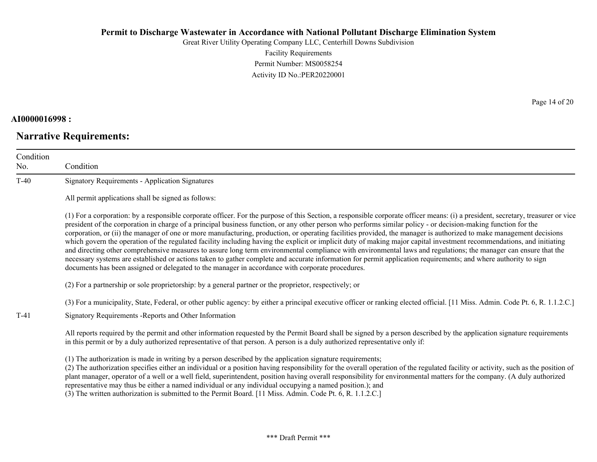Great River Utility Operating Company LLC, Centerhill Downs Subdivision Facility Requirements Permit Number: MS0058254 Activity ID No.:PER20220001

## **AI0000016998 :**

# **Narrative Requirements:**

Page 14 of 20

| Condition<br>No. | Condition                                                                                                                                                                                                                                                                                                                                                                                                                                                                                                                                                                                                                                                                                                                                                                                                                                                                                                                                                                                                                                                                                                                                      |
|------------------|------------------------------------------------------------------------------------------------------------------------------------------------------------------------------------------------------------------------------------------------------------------------------------------------------------------------------------------------------------------------------------------------------------------------------------------------------------------------------------------------------------------------------------------------------------------------------------------------------------------------------------------------------------------------------------------------------------------------------------------------------------------------------------------------------------------------------------------------------------------------------------------------------------------------------------------------------------------------------------------------------------------------------------------------------------------------------------------------------------------------------------------------|
| $T-40$           | <b>Signatory Requirements - Application Signatures</b>                                                                                                                                                                                                                                                                                                                                                                                                                                                                                                                                                                                                                                                                                                                                                                                                                                                                                                                                                                                                                                                                                         |
|                  | All permit applications shall be signed as follows:                                                                                                                                                                                                                                                                                                                                                                                                                                                                                                                                                                                                                                                                                                                                                                                                                                                                                                                                                                                                                                                                                            |
|                  | (1) For a corporation: by a responsible corporate officer. For the purpose of this Section, a responsible corporate officer means: (i) a president, secretary, treasurer or vice<br>president of the corporation in charge of a principal business function, or any other person who performs similar policy - or decision-making function for the<br>corporation, or (ii) the manager of one or more manufacturing, production, or operating facilities provided, the manager is authorized to make management decisions<br>which govern the operation of the regulated facility including having the explicit or implicit duty of making major capital investment recommendations, and initiating<br>and directing other comprehensive measures to assure long term environmental compliance with environmental laws and regulations; the manager can ensure that the<br>necessary systems are established or actions taken to gather complete and accurate information for permit application requirements; and where authority to sign<br>documents has been assigned or delegated to the manager in accordance with corporate procedures. |
|                  | (2) For a partnership or sole proprietorship: by a general partner or the proprietor, respectively; or                                                                                                                                                                                                                                                                                                                                                                                                                                                                                                                                                                                                                                                                                                                                                                                                                                                                                                                                                                                                                                         |
|                  | (3) For a municipality, State, Federal, or other public agency: by either a principal executive officer or ranking elected official. [11 Miss. Admin. Code Pt. 6, R. 1.1.2.C.]                                                                                                                                                                                                                                                                                                                                                                                                                                                                                                                                                                                                                                                                                                                                                                                                                                                                                                                                                                 |
| $T-41$           | Signatory Requirements - Reports and Other Information                                                                                                                                                                                                                                                                                                                                                                                                                                                                                                                                                                                                                                                                                                                                                                                                                                                                                                                                                                                                                                                                                         |
|                  | All reports required by the permit and other information requested by the Permit Board shall be signed by a person described by the application signature requirements<br>in this permit or by a duly authorized representative of that person. A person is a duly authorized representative only if:                                                                                                                                                                                                                                                                                                                                                                                                                                                                                                                                                                                                                                                                                                                                                                                                                                          |
|                  | (1) The authorization is made in writing by a person described by the application signature requirements;<br>(2) The authorization specifies either an individual or a position having responsibility for the overall operation of the regulated facility or activity, such as the position of<br>plant manager, operator of a well or a well field, superintendent, position having overall responsibility for environmental matters for the company. (A duly authorized<br>representative may thus be either a named individual or any individual occupying a named position.); and                                                                                                                                                                                                                                                                                                                                                                                                                                                                                                                                                          |

(3) The written authorization is submitted to the Permit Board. [11 Miss. Admin. Code Pt. 6, R. 1.1.2.C.]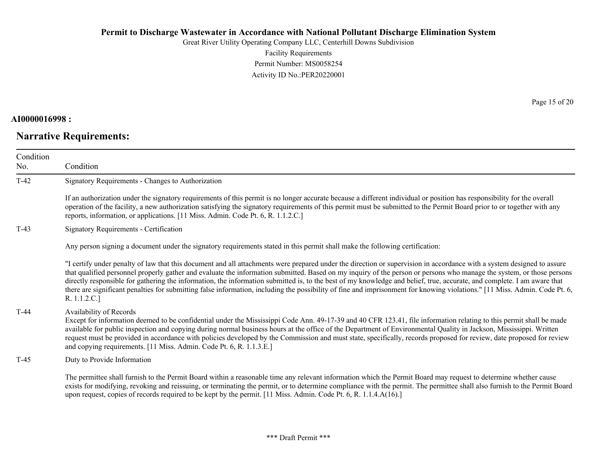Great River Utility Operating Company LLC, Centerhill Downs Subdivision Facility Requirements Permit Number: MS0058254 Activity ID No.:PER20220001

## **AI0000016998 :**

# **Narrative Requirements:**

Page 15 of 20

| Condition<br>No. | Condition                                                                                                                                                                                                                                                                                                                                                                                                                                                                                                                                                                                                                                                                                                                |
|------------------|--------------------------------------------------------------------------------------------------------------------------------------------------------------------------------------------------------------------------------------------------------------------------------------------------------------------------------------------------------------------------------------------------------------------------------------------------------------------------------------------------------------------------------------------------------------------------------------------------------------------------------------------------------------------------------------------------------------------------|
| $T-42$           | Signatory Requirements - Changes to Authorization                                                                                                                                                                                                                                                                                                                                                                                                                                                                                                                                                                                                                                                                        |
|                  | If an authorization under the signatory requirements of this permit is no longer accurate because a different individual or position has responsibility for the overall<br>operation of the facility, a new authorization satisfying the signatory requirements of this permit must be submitted to the Permit Board prior to or together with any<br>reports, information, or applications. [11 Miss. Admin. Code Pt. 6, R. 1.1.2.C.]                                                                                                                                                                                                                                                                                   |
| $T-43$           | Signatory Requirements - Certification                                                                                                                                                                                                                                                                                                                                                                                                                                                                                                                                                                                                                                                                                   |
|                  | Any person signing a document under the signatory requirements stated in this permit shall make the following certification:                                                                                                                                                                                                                                                                                                                                                                                                                                                                                                                                                                                             |
|                  | "I certify under penalty of law that this document and all attachments were prepared under the direction or supervision in accordance with a system designed to assure<br>that qualified personnel properly gather and evaluate the information submitted. Based on my inquiry of the person or persons who manage the system, or those persons<br>directly responsible for gathering the information, the information submitted is, to the best of my knowledge and belief, true, accurate, and complete. I am aware that<br>there are significant penalties for submitting false information, including the possibility of fine and imprisonment for knowing violations." [11 Miss. Admin. Code Pt. 6,<br>R. 1.1.2.C.] |
| $T-44$           | Availability of Records<br>Except for information deemed to be confidential under the Mississippi Code Ann. 49-17-39 and 40 CFR 123.41, file information relating to this permit shall be made<br>available for public inspection and copying during normal business hours at the office of the Department of Environmental Quality in Jackson, Mississippi. Written<br>request must be provided in accordance with policies developed by the Commission and must state, specifically, records proposed for review, date proposed for review<br>and copying requirements. [11 Miss. Admin. Code Pt. 6, R. 1.1.3.E.]                                                                                                      |
| $T-45$           | Duty to Provide Information                                                                                                                                                                                                                                                                                                                                                                                                                                                                                                                                                                                                                                                                                              |
|                  | The permittee shall furnish to the Permit Board within a reasonable time any relevant information which the Permit Board may request to determine whether cause<br>exists for modifying, revoking and reissuing, or terminating the permit, or to determine compliance with the permit. The permittee shall also furnish to the Permit Board<br>upon request, copies of records required to be kept by the permit. [11 Miss. Admin. Code Pt. 6, R. 1.1.4.A(16).]                                                                                                                                                                                                                                                         |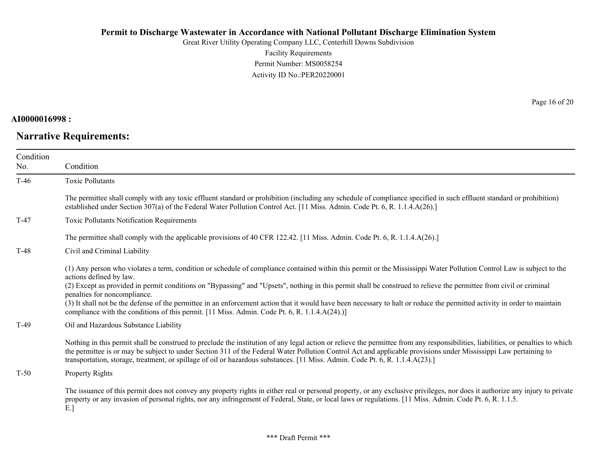Great River Utility Operating Company LLC, Centerhill Downs Subdivision Facility Requirements Permit Number: MS0058254 Activity ID No.:PER20220001

# **AI0000016998 :**

# **Narrative Requirements:**

Page 16 of 20

| Condition |                                                                                                                                                                                                                                                                                                                                                                                                                                                                                                                                                                                                                                                                                      |
|-----------|--------------------------------------------------------------------------------------------------------------------------------------------------------------------------------------------------------------------------------------------------------------------------------------------------------------------------------------------------------------------------------------------------------------------------------------------------------------------------------------------------------------------------------------------------------------------------------------------------------------------------------------------------------------------------------------|
| No.       | Condition                                                                                                                                                                                                                                                                                                                                                                                                                                                                                                                                                                                                                                                                            |
| $T-46$    | <b>Toxic Pollutants</b>                                                                                                                                                                                                                                                                                                                                                                                                                                                                                                                                                                                                                                                              |
|           | The permittee shall comply with any toxic effluent standard or prohibition (including any schedule of compliance specified in such effluent standard or prohibition)<br>established under Section 307(a) of the Federal Water Pollution Control Act. [11 Miss. Admin. Code Pt. 6, R. 1.1.4.A(26).]                                                                                                                                                                                                                                                                                                                                                                                   |
| $T-47$    | <b>Toxic Pollutants Notification Requirements</b>                                                                                                                                                                                                                                                                                                                                                                                                                                                                                                                                                                                                                                    |
|           | The permittee shall comply with the applicable provisions of 40 CFR 122.42. [11 Miss. Admin. Code Pt. 6, R. 1.1.4.A(26).]                                                                                                                                                                                                                                                                                                                                                                                                                                                                                                                                                            |
| $T-48$    | Civil and Criminal Liability                                                                                                                                                                                                                                                                                                                                                                                                                                                                                                                                                                                                                                                         |
|           | (1) Any person who violates a term, condition or schedule of compliance contained within this permit or the Mississippi Water Pollution Control Law is subject to the<br>actions defined by law.<br>(2) Except as provided in permit conditions on "Bypassing" and "Upsets", nothing in this permit shall be construed to relieve the permittee from civil or criminal<br>penalties for noncompliance.<br>(3) It shall not be the defense of the permittee in an enforcement action that it would have been necessary to halt or reduce the permitted activity in order to maintain<br>compliance with the conditions of this permit. [11 Miss. Admin. Code Pt. 6, R. 1.1.4.A(24).)] |
| $T-49$    | Oil and Hazardous Substance Liability                                                                                                                                                                                                                                                                                                                                                                                                                                                                                                                                                                                                                                                |
|           | Nothing in this permit shall be construed to preclude the institution of any legal action or relieve the permittee from any responsibilities, liabilities, or penalties to which<br>the permittee is or may be subject to under Section 311 of the Federal Water Pollution Control Act and applicable provisions under Mississippi Law pertaining to<br>transportation, storage, treatment, or spillage of oil or hazardous substances. [11 Miss. Admin. Code Pt. 6, R. 1.1.4.A(23).]                                                                                                                                                                                                |
| $T-50$    | Property Rights                                                                                                                                                                                                                                                                                                                                                                                                                                                                                                                                                                                                                                                                      |
|           | The issuance of this permit does not convey any property rights in either real or personal property, or any exclusive privileges, nor does it authorize any injury to private<br>property or any invasion of personal rights, nor any infringement of Federal, State, or local laws or regulations. [11 Miss. Admin. Code Pt. 6, R. 1.1.5.                                                                                                                                                                                                                                                                                                                                           |

E.]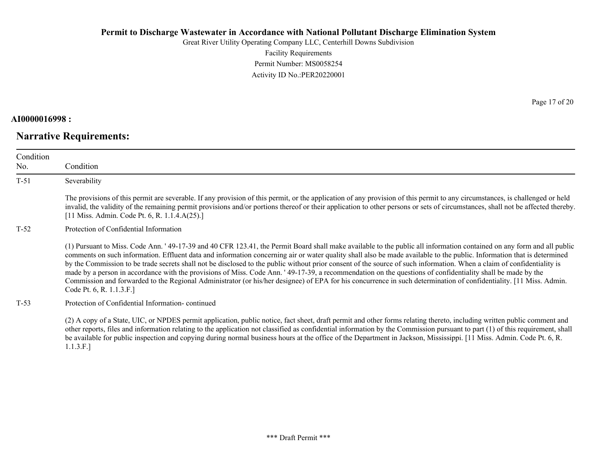Great River Utility Operating Company LLC, Centerhill Downs Subdivision Facility Requirements Permit Number: MS0058254 Activity ID No.:PER20220001

# **AI0000016998 :**

# **Narrative Requirements:**

Page 17 of 20

| Condition<br>No. | Condition                                                                                                                                                                                                                                                                                                                                                                                                                                                                                                                                                                                                                                                                                                                                                                                                                                                                                 |
|------------------|-------------------------------------------------------------------------------------------------------------------------------------------------------------------------------------------------------------------------------------------------------------------------------------------------------------------------------------------------------------------------------------------------------------------------------------------------------------------------------------------------------------------------------------------------------------------------------------------------------------------------------------------------------------------------------------------------------------------------------------------------------------------------------------------------------------------------------------------------------------------------------------------|
| $T-51$           | Severability                                                                                                                                                                                                                                                                                                                                                                                                                                                                                                                                                                                                                                                                                                                                                                                                                                                                              |
|                  | The provisions of this permit are severable. If any provision of this permit, or the application of any provision of this permit to any circumstances, is challenged or held<br>invalid, the validity of the remaining permit provisions and/or portions thereof or their application to other persons or sets of circumstances, shall not be affected thereby.<br>[11 Miss. Admin. Code Pt. 6, R. 1.1.4.A(25).]                                                                                                                                                                                                                                                                                                                                                                                                                                                                          |
| T-52             | Protection of Confidential Information                                                                                                                                                                                                                                                                                                                                                                                                                                                                                                                                                                                                                                                                                                                                                                                                                                                    |
|                  | (1) Pursuant to Miss. Code Ann. '49-17-39 and 40 CFR 123.41, the Permit Board shall make available to the public all information contained on any form and all public<br>comments on such information. Effluent data and information concerning air or water quality shall also be made available to the public. Information that is determined<br>by the Commission to be trade secrets shall not be disclosed to the public without prior consent of the source of such information. When a claim of confidentiality is<br>made by a person in accordance with the provisions of Miss. Code Ann. '49-17-39, a recommendation on the questions of confidentiality shall be made by the<br>Commission and forwarded to the Regional Administrator (or his/her designee) of EPA for his concurrence in such determination of confidentiality. [11 Miss. Admin.<br>Code Pt. 6, R. 1.1.3.F.] |
| $T-53$           | Protection of Confidential Information-continued                                                                                                                                                                                                                                                                                                                                                                                                                                                                                                                                                                                                                                                                                                                                                                                                                                          |
|                  | (2) A copy of a State, UIC, or NPDES permit application, public notice, fact sheet, draft permit and other forms relating thereto, including written public comment and<br>other reports, files and information relating to the application not classified as confidential information by the Commission pursuant to part (1) of this requirement, shall<br>be available for public inspection and copying during normal business hours at the office of the Department in Jackson, Mississippi. [11 Miss. Admin. Code Pt. 6, R.                                                                                                                                                                                                                                                                                                                                                          |

1.1.3.F.]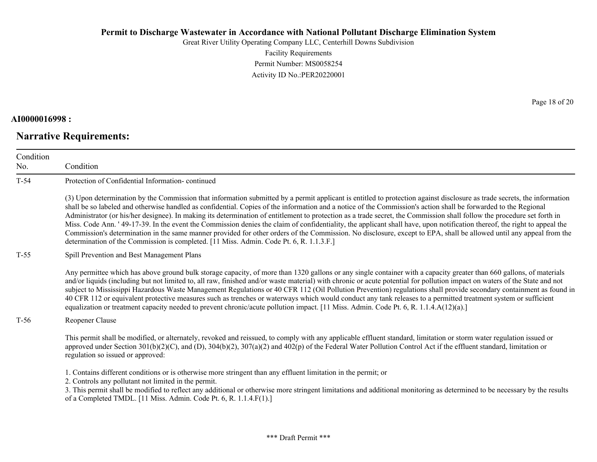Great River Utility Operating Company LLC, Centerhill Downs Subdivision Facility Requirements Permit Number: MS0058254 Activity ID No.:PER20220001

## **AI0000016998 :**

# **Narrative Requirements:**

Page 18 of 20

| Condition<br>No. | Condition                                                                                                                                                                                                                                                                                                                                                                                                                                                                                                                                                                                                                                                                                                                                                                                                                                                                                                                                                            |
|------------------|----------------------------------------------------------------------------------------------------------------------------------------------------------------------------------------------------------------------------------------------------------------------------------------------------------------------------------------------------------------------------------------------------------------------------------------------------------------------------------------------------------------------------------------------------------------------------------------------------------------------------------------------------------------------------------------------------------------------------------------------------------------------------------------------------------------------------------------------------------------------------------------------------------------------------------------------------------------------|
| $T-54$           | Protection of Confidential Information-continued                                                                                                                                                                                                                                                                                                                                                                                                                                                                                                                                                                                                                                                                                                                                                                                                                                                                                                                     |
|                  | (3) Upon determination by the Commission that information submitted by a permit applicant is entitled to protection against disclosure as trade secrets, the information<br>shall be so labeled and otherwise handled as confidential. Copies of the information and a notice of the Commission's action shall be forwarded to the Regional<br>Administrator (or his/her designee). In making its determination of entitlement to protection as a trade secret, the Commission shall follow the procedure set forth in<br>Miss. Code Ann. '49-17-39. In the event the Commission denies the claim of confidentiality, the applicant shall have, upon notification thereof, the right to appeal the<br>Commission's determination in the same manner provided for other orders of the Commission. No disclosure, except to EPA, shall be allowed until any appeal from the<br>determination of the Commission is completed. [11 Miss. Admin. Code Pt. 6, R. 1.1.3.F.] |
| $T-55$           | Spill Prevention and Best Management Plans                                                                                                                                                                                                                                                                                                                                                                                                                                                                                                                                                                                                                                                                                                                                                                                                                                                                                                                           |
|                  | Any permittee which has above ground bulk storage capacity, of more than 1320 gallons or any single container with a capacity greater than 660 gallons, of materials<br>and/or liquids (including but not limited to, all raw, finished and/or waste material) with chronic or acute potential for pollution impact on waters of the State and not<br>subject to Mississippi Hazardous Waste Management Regulations or 40 CFR 112 (Oil Pollution Prevention) regulations shall provide secondary containment as found in<br>40 CFR 112 or equivalent protective measures such as trenches or waterways which would conduct any tank releases to a permitted treatment system or sufficient<br>equalization or treatment capacity needed to prevent chronic/acute pollution impact. [11 Miss. Admin. Code Pt. 6, R. 1.1.4.A(12)(a).]                                                                                                                                  |
| $T-56$           | Reopener Clause                                                                                                                                                                                                                                                                                                                                                                                                                                                                                                                                                                                                                                                                                                                                                                                                                                                                                                                                                      |
|                  | This permit shall be modified, or alternately, revoked and reissued, to comply with any applicable effluent standard, limitation or storm water regulation issued or<br>approved under Section $301(b)(2)(C)$ , and (D), $304(b)(2)$ , $307(a)(2)$ and $402(p)$ of the Federal Water Pollution Control Act if the effluent standard, limitation or<br>regulation so issued or approved:                                                                                                                                                                                                                                                                                                                                                                                                                                                                                                                                                                              |
|                  | 1. Contains different conditions or is otherwise more stringent than any effluent limitation in the permit; or<br>2. Controls any pollutant not limited in the permit.<br>3. This permit shall be modified to reflect any additional or otherwise more stringent limitations and additional monitoring as determined to be necessary by the results<br>of a Completed TMDL. [11 Miss. Admin. Code Pt. 6, R. 1.1.4.F(1).]                                                                                                                                                                                                                                                                                                                                                                                                                                                                                                                                             |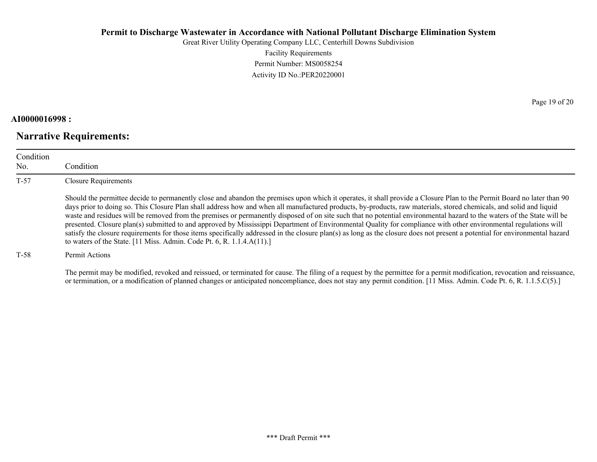Great River Utility Operating Company LLC, Centerhill Downs Subdivision Facility Requirements Permit Number: MS0058254 Activity ID No.:PER20220001

#### **AI0000016998 :**

# **Narrative Requirements:**

Page 19 of 20

| Condition<br>No. | Condition                                                                                                                                                                                                                                                                                                                                                                                                                                                                                                                                                                                                                                                                                                                                                                                                                                                                                                                                          |
|------------------|----------------------------------------------------------------------------------------------------------------------------------------------------------------------------------------------------------------------------------------------------------------------------------------------------------------------------------------------------------------------------------------------------------------------------------------------------------------------------------------------------------------------------------------------------------------------------------------------------------------------------------------------------------------------------------------------------------------------------------------------------------------------------------------------------------------------------------------------------------------------------------------------------------------------------------------------------|
| $T-57$           | <b>Closure Requirements</b>                                                                                                                                                                                                                                                                                                                                                                                                                                                                                                                                                                                                                                                                                                                                                                                                                                                                                                                        |
|                  | Should the permittee decide to permanently close and abandon the premises upon which it operates, it shall provide a Closure Plan to the Permit Board no later than 90<br>days prior to doing so. This Closure Plan shall address how and when all manufactured products, by-products, raw materials, stored chemicals, and solid and liquid<br>waste and residues will be removed from the premises or permanently disposed of on site such that no potential environmental hazard to the waters of the State will be<br>presented. Closure plan(s) submitted to and approved by Mississippi Department of Environmental Quality for compliance with other environmental regulations will<br>satisfy the closure requirements for those items specifically addressed in the closure plan(s) as long as the closure does not present a potential for environmental hazard<br>to waters of the State. [11 Miss. Admin. Code Pt. 6, R. 1.1.4.A(11).] |
| $T-58$           | Permit Actions                                                                                                                                                                                                                                                                                                                                                                                                                                                                                                                                                                                                                                                                                                                                                                                                                                                                                                                                     |

The permit may be modified, revoked and reissued, or terminated for cause. The filing of a request by the permittee for a permit modification, revocation and reissuance, or termination, or a modification of planned changes or anticipated noncompliance, does not stay any permit condition. [11 Miss. Admin. Code Pt. 6, R. 1.1.5.C(5).]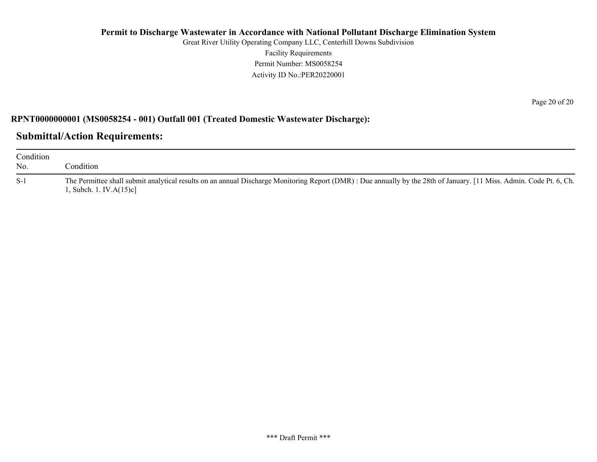Great River Utility Operating Company LLC, Centerhill Downs Subdivision Facility Requirements Permit Number: MS0058254 Activity ID No.:PER20220001

Page 20 of 20

### **RPNT0000000001 (MS0058254 - 001) Outfall 001 (Treated Domestic Wastewater Discharge):**

# **Submittal/Action Requirements:**

| Condition<br>No. | Condition                                                                                                                                                                                                          |
|------------------|--------------------------------------------------------------------------------------------------------------------------------------------------------------------------------------------------------------------|
| $S-1$            | The Permittee shall submit analytical results on an annual Discharge Monitoring Report (DMR): Due annually by the 28th of January. [11 Miss. Admin. Code Pt. 6, Ch.<br>$\left[ \right]$ , Subch. 1. IV.A $(15)c$ ] |